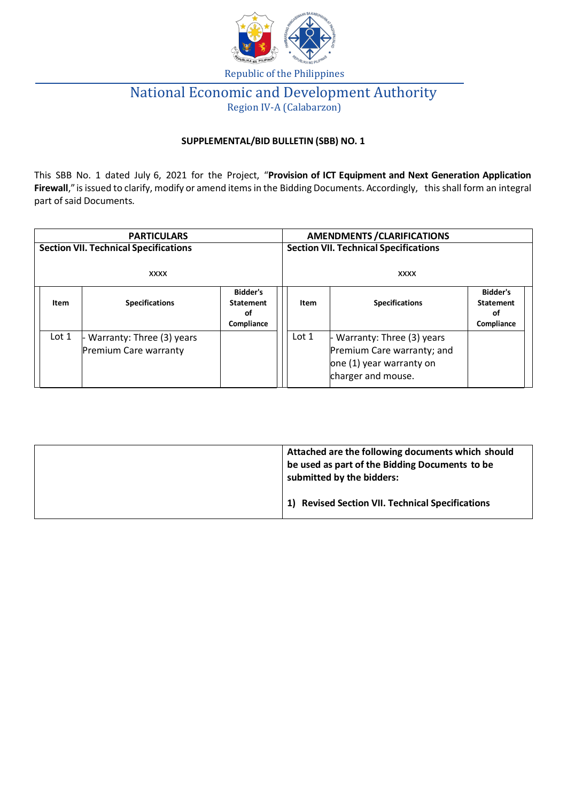

## National Economic and Development Authority Region IV-A (Calabarzon)

### **SUPPLEMENTAL/BID BULLETIN (SBB) NO. 1**

This SBB No. 1 dated July 6, 2021 for the Project, "**Provision of ICT Equipment and Next Generation Application**  Firewall," is issued to clarify, modify or amend items in the Bidding Documents. Accordingly, this shall form an integral part of said Documents.

| <b>PARTICULARS</b>                           |                                                    |                                                         | <b>AMENDMENTS / CLARIFICATIONS</b> |                                                                                                             |                                                         |
|----------------------------------------------|----------------------------------------------------|---------------------------------------------------------|------------------------------------|-------------------------------------------------------------------------------------------------------------|---------------------------------------------------------|
| <b>Section VII. Technical Specifications</b> |                                                    | <b>Section VII. Technical Specifications</b>            |                                    |                                                                                                             |                                                         |
|                                              | <b>XXXX</b>                                        |                                                         |                                    | <b>XXXX</b>                                                                                                 |                                                         |
| Item                                         | <b>Specifications</b>                              | <b>Bidder's</b><br><b>Statement</b><br>οf<br>Compliance | Item                               | <b>Specifications</b>                                                                                       | <b>Bidder's</b><br><b>Statement</b><br>οf<br>Compliance |
| Lot 1                                        | Warranty: Three (3) years<br>Premium Care warranty |                                                         | Lot 1                              | - Warranty: Three (3) years<br>Premium Care warranty; and<br>one (1) year warranty on<br>charger and mouse. |                                                         |

| Attached are the following documents which should<br>be used as part of the Bidding Documents to be<br>submitted by the bidders: |  |  |
|----------------------------------------------------------------------------------------------------------------------------------|--|--|
| <b>Revised Section VII. Technical Specifications</b><br>1)                                                                       |  |  |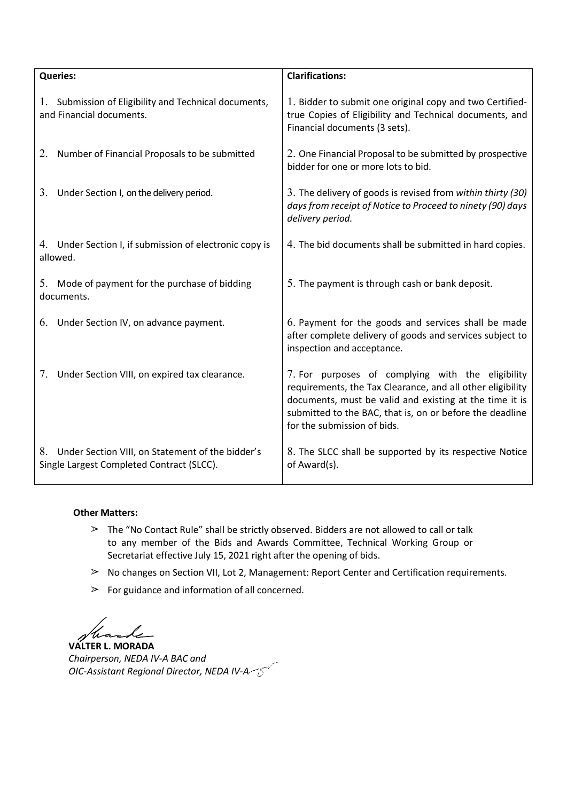| <b>Queries:</b>                                                                                  | <b>Clarifications:</b>                                                                                                                                                                                                                                                |  |  |
|--------------------------------------------------------------------------------------------------|-----------------------------------------------------------------------------------------------------------------------------------------------------------------------------------------------------------------------------------------------------------------------|--|--|
| 1. Submission of Eligibility and Technical documents,<br>and Financial documents.                | 1. Bidder to submit one original copy and two Certified-<br>true Copies of Eligibility and Technical documents, and<br>Financial documents (3 sets).                                                                                                                  |  |  |
| 2. Number of Financial Proposals to be submitted                                                 | 2. One Financial Proposal to be submitted by prospective<br>bidder for one or more lots to bid.                                                                                                                                                                       |  |  |
| 3. Under Section I, on the delivery period.                                                      | 3. The delivery of goods is revised from within thirty (30)<br>days from receipt of Notice to Proceed to ninety (90) days<br>delivery period.                                                                                                                         |  |  |
| 4. Under Section I, if submission of electronic copy is<br>allowed.                              | 4. The bid documents shall be submitted in hard copies.                                                                                                                                                                                                               |  |  |
| 5. Mode of payment for the purchase of bidding<br>documents.                                     | 5. The payment is through cash or bank deposit.                                                                                                                                                                                                                       |  |  |
| 6. Under Section IV, on advance payment.                                                         | 6. Payment for the goods and services shall be made<br>after complete delivery of goods and services subject to<br>inspection and acceptance.                                                                                                                         |  |  |
| Under Section VIII, on expired tax clearance.<br>7.                                              | 7. For purposes of complying with the eligibility<br>requirements, the Tax Clearance, and all other eligibility<br>documents, must be valid and existing at the time it is<br>submitted to the BAC, that is, on or before the deadline<br>for the submission of bids. |  |  |
| 8. Under Section VIII, on Statement of the bidder's<br>Single Largest Completed Contract (SLCC). | 8. The SLCC shall be supported by its respective Notice<br>of Award(s).                                                                                                                                                                                               |  |  |

#### **Other Matters:**

- $\geq$  The "No Contact Rule" shall be strictly observed. Bidders are not allowed to call or talk to any member of the Bids and Awards Committee, Technical Working Group or Secretariat effective July 15, 2021 right after the opening of bids.
- ➢ No changes on Section VII, Lot 2, Management: Report Center and Certification requirements.
- $\triangleright$  For guidance and information of all concerned.

**VALTER L. MORADA** *Chairperson, NEDA IV-A BAC and OIC-Assistant Regional Director, NEDA IV-A*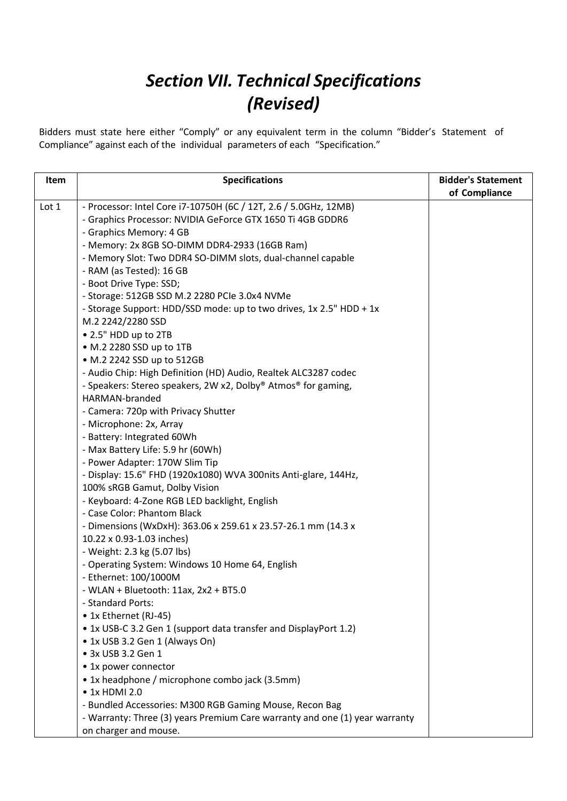# *Section VII. Technical Specifications (Revised)*

Bidders must state here either "Comply" or any equivalent term in the column "Bidder's Statement of Compliance" against each of the individual parameters of each "Specification."

| Item  | <b>Specifications</b>                                                       | <b>Bidder's Statement</b> |
|-------|-----------------------------------------------------------------------------|---------------------------|
|       |                                                                             | of Compliance             |
| Lot 1 | - Processor: Intel Core i7-10750H (6C / 12T, 2.6 / 5.0GHz, 12MB)            |                           |
|       | - Graphics Processor: NVIDIA GeForce GTX 1650 Ti 4GB GDDR6                  |                           |
|       | - Graphics Memory: 4 GB                                                     |                           |
|       | - Memory: 2x 8GB SO-DIMM DDR4-2933 (16GB Ram)                               |                           |
|       | - Memory Slot: Two DDR4 SO-DIMM slots, dual-channel capable                 |                           |
|       | - RAM (as Tested): 16 GB                                                    |                           |
|       | - Boot Drive Type: SSD;                                                     |                           |
|       | - Storage: 512GB SSD M.2 2280 PCIe 3.0x4 NVMe                               |                           |
|       | - Storage Support: HDD/SSD mode: up to two drives, 1x 2.5" HDD + 1x         |                           |
|       | M.2 2242/2280 SSD                                                           |                           |
|       | • 2.5" HDD up to 2TB                                                        |                           |
|       | • M.2 2280 SSD up to 1TB                                                    |                           |
|       | • M.2 2242 SSD up to 512GB                                                  |                           |
|       | - Audio Chip: High Definition (HD) Audio, Realtek ALC3287 codec             |                           |
|       | - Speakers: Stereo speakers, 2W x2, Dolby® Atmos® for gaming,               |                           |
|       | HARMAN-branded                                                              |                           |
|       | - Camera: 720p with Privacy Shutter                                         |                           |
|       | - Microphone: 2x, Array                                                     |                           |
|       | - Battery: Integrated 60Wh                                                  |                           |
|       | - Max Battery Life: 5.9 hr (60Wh)                                           |                           |
|       | - Power Adapter: 170W Slim Tip                                              |                           |
|       | - Display: 15.6" FHD (1920x1080) WVA 300nits Anti-glare, 144Hz,             |                           |
|       | 100% sRGB Gamut, Dolby Vision                                               |                           |
|       | - Keyboard: 4-Zone RGB LED backlight, English                               |                           |
|       | - Case Color: Phantom Black                                                 |                           |
|       | - Dimensions (WxDxH): 363.06 x 259.61 x 23.57-26.1 mm (14.3 x               |                           |
|       | 10.22 x 0.93-1.03 inches)                                                   |                           |
|       | - Weight: 2.3 kg (5.07 lbs)                                                 |                           |
|       | - Operating System: Windows 10 Home 64, English                             |                           |
|       | - Ethernet: 100/1000M                                                       |                           |
|       | - WLAN + Bluetooth: 11ax, 2x2 + BT5.0                                       |                           |
|       | - Standard Ports:                                                           |                           |
|       | • 1x Ethernet (RJ-45)                                                       |                           |
|       | • 1x USB-C 3.2 Gen 1 (support data transfer and DisplayPort 1.2)            |                           |
|       | • 1x USB 3.2 Gen 1 (Always On)                                              |                           |
|       | • 3x USB 3.2 Gen 1                                                          |                           |
|       |                                                                             |                           |
|       | • 1x power connector                                                        |                           |
|       | • 1x headphone / microphone combo jack (3.5mm)                              |                           |
|       | • 1x HDMI 2.0                                                               |                           |
|       | - Bundled Accessories: M300 RGB Gaming Mouse, Recon Bag                     |                           |
|       | - Warranty: Three (3) years Premium Care warranty and one (1) year warranty |                           |
|       | on charger and mouse.                                                       |                           |